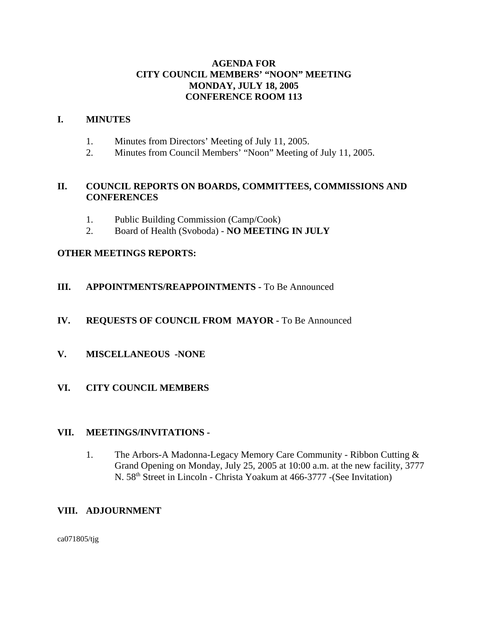# **AGENDA FOR CITY COUNCIL MEMBERS' "NOON" MEETING MONDAY, JULY 18, 2005 CONFERENCE ROOM 113**

### **I. MINUTES**

- 1. Minutes from Directors' Meeting of July 11, 2005.
- 2. Minutes from Council Members' "Noon" Meeting of July 11, 2005.

# **II. COUNCIL REPORTS ON BOARDS, COMMITTEES, COMMISSIONS AND CONFERENCES**

- 1. Public Building Commission (Camp/Cook)
- 2. Board of Health (Svoboda) **NO MEETING IN JULY**

# **OTHER MEETINGS REPORTS:**

**III.** APPOINTMENTS/REAPPOINTMENTS - To Be Announced

### **IV. REQUESTS OF COUNCIL FROM MAYOR -** To Be Announced

- **V. MISCELLANEOUS -NONE**
- **VI. CITY COUNCIL MEMBERS**

#### **VII. MEETINGS/INVITATIONS -**

1. The Arbors-A Madonna-Legacy Memory Care Community - Ribbon Cutting & Grand Opening on Monday, July 25, 2005 at 10:00 a.m. at the new facility, 3777 N. 58<sup>th</sup> Street in Lincoln - Christa Yoakum at 466-3777 - (See Invitation)

# **VIII. ADJOURNMENT**

ca071805/tjg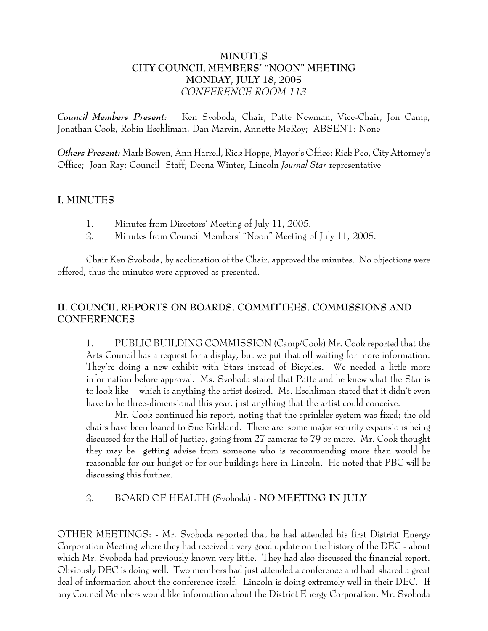# **MINUTES CITY COUNCIL MEMBERS' "NOON" MEETING MONDAY, JULY 18, 2005** *CONFERENCE ROOM 113*

*Council Members Present:* Ken Svoboda, Chair; Patte Newman, Vice-Chair; Jon Camp, Jonathan Cook, Robin Eschliman, Dan Marvin, Annette McRoy; ABSENT: None

*Others Present:* Mark Bowen, Ann Harrell, Rick Hoppe, Mayor's Office; Rick Peo, City Attorney's Office; Joan Ray; Council Staff; Deena Winter, Lincoln *Journal Star* representative

# **I. MINUTES**

- 1. Minutes from Directors' Meeting of July 11, 2005.
- 2. Minutes from Council Members' "Noon" Meeting of July 11, 2005.

Chair Ken Svoboda, by acclimation of the Chair, approved the minutes. No objections were offered, thus the minutes were approved as presented.

# **II. COUNCIL REPORTS ON BOARDS, COMMITTEES, COMMISSIONS AND CONFERENCES**

1. PUBLIC BUILDING COMMISSION (Camp/Cook) Mr. Cook reported that the Arts Council has a request for a display, but we put that off waiting for more information. They're doing a new exhibit with Stars instead of Bicycles. We needed a little more information before approval. Ms. Svoboda stated that Patte and he knew what the Star is to look like - which is anything the artist desired. Ms. Eschliman stated that it didn't even have to be three-dimensional this year, just anything that the artist could conceive.

Mr. Cook continued his report, noting that the sprinkler system was fixed; the old chairs have been loaned to Sue Kirkland. There are some major security expansions being discussed for the Hall of Justice, going from 27 cameras to 79 or more. Mr. Cook thought they may be getting advise from someone who is recommending more than would be reasonable for our budget or for our buildings here in Lincoln. He noted that PBC will be discussing this further.

2. BOARD OF HEALTH (Svoboda) - **NO MEETING IN JULY**

OTHER MEETINGS: - Mr. Svoboda reported that he had attended his first District Energy Corporation Meeting where they had received a very good update on the history of the DEC - about which Mr. Svoboda had previously known very little. They had also discussed the financial report. Obviously DEC is doing well. Two members had just attended a conference and had shared a great deal of information about the conference itself. Lincoln is doing extremely well in their DEC. If any Council Members would like information about the District Energy Corporation, Mr. Svoboda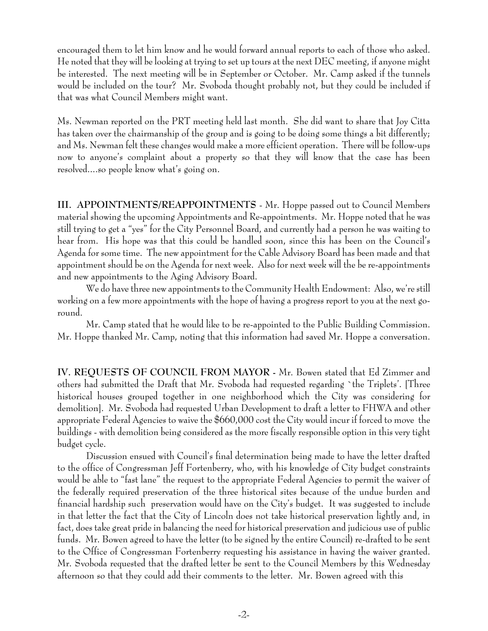encouraged them to let him know and he would forward annual reports to each of those who asked. He noted that they will be looking at trying to set up tours at the next DEC meeting, if anyone might be interested. The next meeting will be in September or October. Mr. Camp asked if the tunnels would be included on the tour? Mr. Svoboda thought probably not, but they could be included if that was what Council Members might want.

Ms. Newman reported on the PRT meeting held last month. She did want to share that Joy Citta has taken over the chairmanship of the group and is going to be doing some things a bit differently; and Ms. Newman felt these changes would make a more efficient operation. There will be follow-ups now to anyone's complaint about a property so that they will know that the case has been resolved....so people know what's going on.

**III. APPOINTMENTS/REAPPOINTMENTS** - Mr. Hoppe passed out to Council Members material showing the upcoming Appointments and Re-appointments. Mr. Hoppe noted that he was still trying to get a "yes" for the City Personnel Board, and currently had a person he was waiting to hear from. His hope was that this could be handled soon, since this has been on the Council's Agenda for some time. The new appointment for the Cable Advisory Board has been made and that appointment should be on the Agenda for next week. Also for next week will the be re-appointments and new appointments to the Aging Advisory Board.

We do have three new appointments to the Community Health Endowment: Also, we're still working on a few more appointments with the hope of having a progress report to you at the next goround.

Mr. Camp stated that he would like to be re-appointed to the Public Building Commission. Mr. Hoppe thanked Mr. Camp, noting that this information had saved Mr. Hoppe a conversation.

**IV. REQUESTS OF COUNCIL FROM MAYOR -** Mr. Bowen stated that Ed Zimmer and others had submitted the Draft that Mr. Svoboda had requested regarding `the Triplets'. [Three historical houses grouped together in one neighborhood which the City was considering for demolition]. Mr. Svoboda had requested Urban Development to draft a letter to FHWA and other appropriate Federal Agencies to waive the \$660,000 cost the City would incur if forced to move the buildings - with demolition being considered as the more fiscally responsible option in this very tight budget cycle.

Discussion ensued with Council's final determination being made to have the letter drafted to the office of Congressman Jeff Fortenberry, who, with his knowledge of City budget constraints would be able to "fast lane" the request to the appropriate Federal Agencies to permit the waiver of the federally required preservation of the three historical sites because of the undue burden and financial hardship such preservation would have on the City's budget. It was suggested to include in that letter the fact that the City of Lincoln does not take historical preservation lightly and, in fact, does take great pride in balancing the need for historical preservation and judicious use of public funds. Mr. Bowen agreed to have the letter (to be signed by the entire Council) re-drafted to be sent to the Office of Congressman Fortenberry requesting his assistance in having the waiver granted. Mr. Svoboda requested that the drafted letter be sent to the Council Members by this Wednesday afternoon so that they could add their comments to the letter. Mr. Bowen agreed with this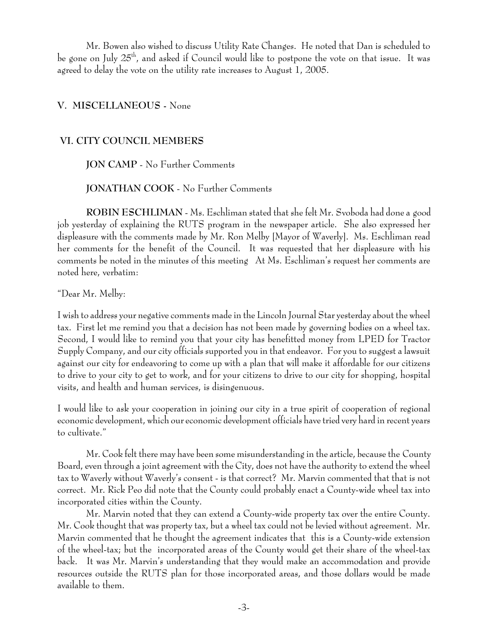Mr. Bowen also wished to discuss Utility Rate Changes. He noted that Dan is scheduled to be gone on July  $25<sup>th</sup>$ , and asked if Council would like to postpone the vote on that issue. It was agreed to delay the vote on the utility rate increases to August 1, 2005.

# **V. MISCELLANEOUS -** None

### **VI. CITY COUNCIL MEMBERS**

### **JON CAMP** - No Further Comments

#### **JONATHAN COOK** - No Further Comments

**ROBIN ESCHLIMAN** - Ms. Eschliman stated that she felt Mr. Svoboda had done a good job yesterday of explaining the RUTS program in the newspaper article. She also expressed her displeasure with the comments made by Mr. Ron Melby [Mayor of Waverly]. Ms. Eschliman read her comments for the benefit of the Council. It was requested that her displeasure with his comments be noted in the minutes of this meeting At Ms. Eschliman's request her comments are noted here, verbatim:

"Dear Mr. Melby:

I wish to address your negative comments made in the Lincoln Journal Star yesterday about the wheel tax. First let me remind you that a decision has not been made by governing bodies on a wheel tax. Second, I would like to remind you that your city has benefitted money from LPED for Tractor Supply Company, and our city officials supported you in that endeavor. For you to suggest a lawsuit against our city for endeavoring to come up with a plan that will make it affordable for our citizens to drive to your city to get to work, and for your citizens to drive to our city for shopping, hospital visits, and health and human services, is disingenuous.

I would like to ask your cooperation in joining our city in a true spirit of cooperation of regional economic development, which our economic development officials have tried very hard in recent years to cultivate."

 Mr. Cook felt there may have been some misunderstanding in the article, because the County Board, even through a joint agreement with the City, does not have the authority to extend the wheel tax to Waverly without Waverly's consent - is that correct? Mr. Marvin commented that that is not correct. Mr. Rick Peo did note that the County could probably enact a County-wide wheel tax into incorporated cities within the County.

Mr. Marvin noted that they can extend a County-wide property tax over the entire County. Mr. Cook thought that was property tax, but a wheel tax could not be levied without agreement. Mr. Marvin commented that he thought the agreement indicates that this is a County-wide extension of the wheel-tax; but the incorporated areas of the County would get their share of the wheel-tax back. It was Mr. Marvin's understanding that they would make an accommodation and provide resources outside the RUTS plan for those incorporated areas, and those dollars would be made available to them.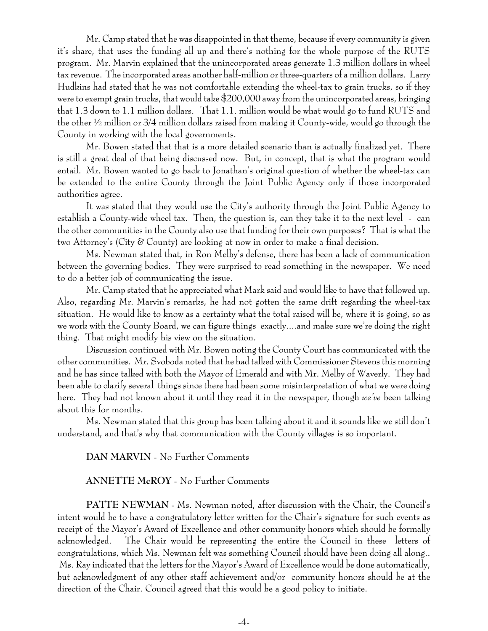Mr. Camp stated that he was disappointed in that theme, because if every community is given it's share, that uses the funding all up and there's nothing for the whole purpose of the RUTS program. Mr. Marvin explained that the unincorporated areas generate 1.3 million dollars in wheel tax revenue. The incorporated areas another half-million or three-quarters of a million dollars. Larry Hudkins had stated that he was not comfortable extending the wheel-tax to grain trucks, so if they were to exempt grain trucks, that would take \$200,000 away from the unincorporated areas, bringing that 1.3 down to 1.1 million dollars. That 1.1. million would be what would go to fund RUTS and the other ½ million or 3/4 million dollars raised from making it County-wide, would go through the County in working with the local governments.

Mr. Bowen stated that that is a more detailed scenario than is actually finalized yet. There is still a great deal of that being discussed now. But, in concept, that is what the program would entail. Mr. Bowen wanted to go back to Jonathan's original question of whether the wheel-tax can be extended to the entire County through the Joint Public Agency only if those incorporated authorities agree.

It was stated that they would use the City's authority through the Joint Public Agency to establish a County-wide wheel tax. Then, the question is, can they take it to the next level - can the other communities in the County also use that funding for their own purposes? That is what the two Attorney's (City & County) are looking at now in order to make a final decision.

Ms. Newman stated that, in Ron Melby's defense, there has been a lack of communication between the governing bodies. They were surprised to read something in the newspaper. We need to do a better job of communicating the issue.

Mr. Camp stated that he appreciated what Mark said and would like to have that followed up. Also, regarding Mr. Marvin's remarks, he had not gotten the same drift regarding the wheel-tax situation. He would like to know as a certainty what the total raised will be, where it is going, so as we work with the County Board, we can figure things exactly....and make sure we're doing the right thing. That might modify his view on the situation.

Discussion continued with Mr. Bowen noting the County Court has communicated with the other communities. Mr. Svoboda noted that he had talked with Commissioner Stevens this morning and he has since talked with both the Mayor of Emerald and with Mr. Melby of Waverly. They had been able to clarify several things since there had been some misinterpretation of what we were doing here. They had not known about it until they read it in the newspaper, though *we've* been talking about this for months.

Ms. Newman stated that this group has been talking about it and it sounds like we still don't understand, and that's why that communication with the County villages is so important.

# **DAN MARVIN** - No Further Comments

# **ANNETTE McROY** - No Further Comments

**PATTE NEWMAN** - Ms. Newman noted, after discussion with the Chair, the Council's intent would be to have a congratulatory letter written for the Chair's signature for such events as receipt of the Mayor's Award of Excellence and other community honors which should be formally acknowledged. The Chair would be representing the entire the Council in these letters of congratulations, which Ms. Newman felt was something Council should have been doing all along.. Ms. Ray indicated that the letters for the Mayor's Award of Excellence would be done automatically, but acknowledgment of any other staff achievement and/or community honors should be at the direction of the Chair. Council agreed that this would be a good policy to initiate.